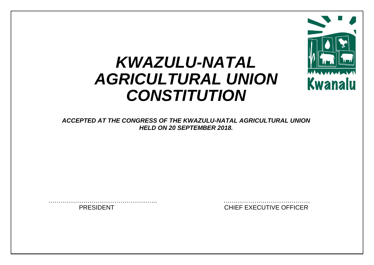

# *KWAZULU-NATAL AGRICULTURAL UNION CONSTITUTION*

*ACCEPTED AT THE CONGRESS OF THE KWAZULU-NATAL AGRICULTURAL UNION HELD ON 20 SEPTEMBER 2018.*

…………………………………………….. …………………………………… PRESIDENT CHIEF EXECUTIVE OFFICER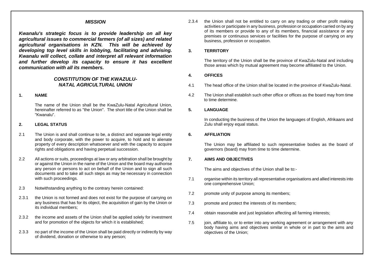# *MISSION*

*Kwanalu's strategic focus is to provide leadership on all key agricultural issues to commercial farmers (of all sizes) and related agricultural organisations in KZN. This will be achieved by developing top level skills in lobbying, facilitating and advising. Kwanalu will collect, collate and interpret all relevant information and further develop its capacity to ensure it has excellent communication with all its members.*

# *CONSTITUTION OF THE KWAZULU-NATAL AGRICULTURAL UNION*

## **1. NAME**

The name of the Union shall be the KwaZulu-Natal Agricultural Union, hereinafter referred to as "the Union". The short title of the Union shall be "Kwanalu".

## **2. LEGAL STATUS**

- 2.1 The Union is and shall continue to be, a distinct and separate legal entity and body corporate, with the power to acquire, to hold and to alienate property of every description whatsoever and with the capacity to acquire rights and obligations and having perpetual succession.
- 2.2 All actions or suits, proceedings at law or any arbitration shall be brought by or against the Union in the name of the Union and the board may authorise any person or persons to act on behalf of the Union and to sign all such documents and to take all such steps as may be necessary in connection with such proceedings.
- 2.3 Notwithstanding anything to the contrary herein contained:
- 2.3.1 the Union is not formed and does not exist for the purpose of carrying on any business that has for its object, the acquisition of gain by the Union or its individual members;
- 2.3.2 the income and assets of the Union shall be applied solely for investment and for promotion of the objects for which it is established;
- 2.3.3 no part of the income of the Union shall be paid directly or indirectly by way of dividend, donation or otherwise to any person;

2.3.4 the Union shall not be entitled to carry on any trading or other profit making activities or participate in any business, profession or occupation carried on by any of its members or provide to any of its members, financial assistance or any premises or continuous services or facilities for the purpose of carrying on any business, profession or occupation.

#### **3. TERRITORY**

The territory of the Union shall be the province of KwaZulu-Natal and including those areas which by mutual agreement may become affiliated to the Union.

# **4. OFFICES**

- 4.1 The head office of the Union shall be located in the province of KwaZulu-Natal.
- 4.2 The Union shall establish such other office or offices as the board may from time to time determine.

# **5. LANGUAGE**

In conducting the business of the Union the languages of English, Afrikaans and Zulu shall enjoy equal status.

## **6. AFFILIATION**

The Union may be affiliated to such representative bodies as the board of governors (board) may from time to time determine.

# **7. AIMS AND OBJECTIVES**

The aims and objectives of the Union shall be to:-

- 7.1 organise within its territory all representative organisations and allied interests into one comprehensive Union;
- 7.2 promote unity of purpose among its members;
- 7.3 promote and protect the interests of its members;
- 7.4 obtain reasonable and just legislation affecting all farming interests;
- 7.5 join, affiliate to, or to enter into any working agreement or arrangement with any body having aims and objectives similar in whole or in part to the aims and objectives of the Union;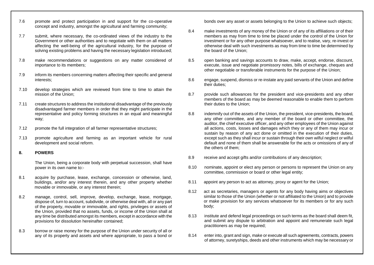- 7.6 promote and protect participation in and support for the co-operative concept and industry, amongst the agricultural and farming community;
- 7.7 submit, where necessary, the co-ordinated views of the industry to the Government or other authorities and to negotiate with them on all matters affecting the well-being of the agricultural industry, for the purpose of solving existing problems and having the necessary legislation introduced;
- 7.8 make recommendations or suggestions on any matter considered of importance to its members;
- 7.9 inform its members concerning matters affecting their specific and general interests;
- 7.10 develop strategies which are reviewed from time to time to attain the mission of the Union;
- 7.11 create structures to address the institutional disadvantage of the previously disadvantaged farmer members in order that they might participate in the representative and policy forming structures in an equal and meaningful way;
- 7.12 promote the full integration of all farmer representative structures;
- 7.13 promote agriculture and farming as an important vehicle for rural development and social reform.

#### **8. POWERS**

The Union, being a corporate body with perpetual succession, shall have power in its own name to:-

- 8.1 acquire by purchase, lease, exchange, concession or otherwise, land, buildings, and/or any interest therein, and any other property whether movable or immovable, or any interest therein;
- 8.2 manage, control, sell, improve, develop, exchange, lease, mortgage, dispose of, turn to account, subdivide, or otherwise deal with, all or any part of the property, movable or immovable, and rights, privileges or assets of the Union, provided that no assets, funds, or income of the Union shall at any time be distributed amongst its members, except in accordance with the provisions for dissolution hereinafter contained;
- 8.3 borrow or raise money for the purpose of the Union under security of all or any of its property and assets and where appropriate, to pass a bond or

bonds over any asset or assets belonging to the Union to achieve such objects;

- 8.4 make investments of any money of the Union or of any of its affiliations or of their members as may from time to time be placed under the control of the Union for investment or for any other purpose whatsoever, and to realise, vary, re-invest or otherwise deal with such investments as may from time to time be determined by the board of the Union;
- 8.5 open banking and savings accounts to draw, make, accept, endorse, discount, execute, issue and negotiate promissory notes, bills of exchange, cheques and other negotiable or transferable instruments for the purpose of the Union;
- 8.6 engage, suspend, dismiss or re-instate any paid servants of the Union and define their duties;
- 8.7 provide such allowances for the president and vice-presidents and any other members of the board as may be deemed reasonable to enable them to perform their duties to the Union;
- 8.8 indemnify out of the assets of the Union, the president, vice-presidents, the board, any other committee, and any member of the board or other committee, the auditor, the chief executive officer, and any other employees of the Union against all actions, costs, losses and damages which they or any of them may incur or sustain by reason of any act done or omitted in the execution of their duties, except such as they shall incur or sustain through their own wilful neglect or wilful default and none of them shall be answerable for the acts or omissions of any of the others of them;
- 8.9 receive and accept gifts and/or contributions of any description;
- 8.10 nominate, appoint or elect any person or persons to represent the Union on any committee, commission or board or other legal entity;
- 8.11 appoint any person to act as attorney, proxy or agent for the Union;
- 8.12 act as secretaries, managers or agents for any body having aims or objectives similar to those of the Union (whether or not affiliated to the Union) and to provide or make provision for any services whatsoever for its members or for any such body;
- 8.13 institute and defend legal proceedings on such terms as the board shall deem fit, and submit any dispute to arbitration and appoint and remunerate such legal practitioners as may be required;
- 8.14 enter into, grant and sign, make or execute all such agreements, contracts, powers of attorney, suretyships, deeds and other instruments which may be necessary or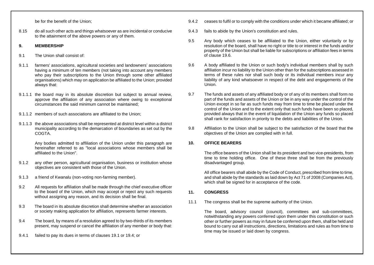be for the benefit of the Union;

8.15 do all such other acts and things whatsoever as are incidental or conducive to the attainment of the above powers or any of them.

# **9. MEMBERSHIP**

- 9.1 The Union shall consist of:
- 9.1.1 farmers' associations, agricultural societies and landowners' associations having a minimum of ten members (not taking into account any members who pay their subscriptions to the Union through some other affiliated organisations) which may on application be affiliated to the Union; provided always that:
- 9.1.1.1 the board may in its absolute discretion but subject to annual review, approve the affiliation of any association where owing to exceptional circumstances the said minimum cannot be maintained;
- 9.1.1.2 members of such associations are affiliated to the Union;
- 9.1.1.3 the above associations shall be represented at district level within a district municipality according to the demarcation of boundaries as set out by the COGTA.

Any bodies admitted to affiliation of the Union under this paragraph are hereinafter referred to as "local associations whose members shall be affiliated to the Union".

- 9.1.2 any other person, agricultural organisation, business or institution whose objectives are consistent with those of the Union.
- 9.1.3 a friend of Kwanalu (non-voting non-farming member).
- 9.2 All requests for affiliation shall be made through the chief executive officer to the board of the Union, which may accept or reject any such requests without assigning any reason, and its decision shall be final.
- 9.3 The board in its absolute discretion shall determine whether an association or society making application for affiliation, represents farmer interests.
- 9.4 The board, by means of a resolution agreed to by two-thirds of its members present, may suspend or cancel the affiliation of any member or body that:
- 9.4.1 failed to pay its dues in terms of clauses 19.1 or 19.4; or
- 9.4.2 ceases to fulfil or to comply with the conditions under which it became affiliated; or
- 9.4.3 fails to abide by the Union's constitution and rules.
- 9.5 Any body which ceases to be affiliated to the Union, either voluntarily or by resolution of the board, shall have no right or title to or interest in the funds and/or property of the Union but shall be liable for subscriptions or affiliation fees in terms of clause 19.6.
- 9.6 A body affiliated to the Union or such body's individual members shall by such affiliation incur no liability to the Union other than for the subscriptions assessed in terms of these rules nor shall such body or its individual members incur any liability of any kind whatsoever in respect of the debt and engagements of the Union.
- 9.7 The funds and assets of any affiliated body or of any of its members shall form no part of the funds and assets of the Union or be in any way under the control of the Union except in so far as such funds may from time to time be placed under the control of the Union and to the extent only that such funds have been so placed, provided always that in the event of liquidation of the Union any funds so placed shall rank for satisfaction in priority to the debts and liabilities of the Union.
- 9.8 Affiliation to the Union shall be subject to the satisfaction of the board that the objectives of the Union are complied with in full.

## **10. OFFICE BEARERS**

The office bearers of the Union shall be its president and two vice-presidents, from time to time holding office. One of these three shall be from the previously disadvantaged group.

All office bearers shall abide by the Code of Conduct, prescribed from time to time, and shall abide by the standards as laid down by Act 71 of 2008 (Companies Act), which shall be signed for in acceptance of the code.

## **11. CONGRESS**

11.1 The congress shall be the supreme authority of the Union.

The board, advisory council (council), committees and sub-committees, notwithstanding any powers conferred upon them under this constitution or such other or further powers as may in future be conferred upon them, shall be held and bound to carry out all instructions, directions, limitations and rules as from time to time may be issued or laid down by congress.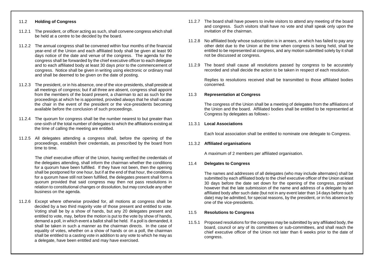# 11.2 **Holding of Congress**

- 11.2.1 The president, or officer acting as such, shall convene congress which shall be held at a centre to be decided by the board.
- 11.2.2 The annual congress shall be convened within four months of the financial year-end of the Union and each affiliated body shall be given at least 90 days notice of the date and venue of the congress. The agenda for the congress shall be forwarded by the chief executive officer to each delegate and to each affiliated body at least 30 days prior to the commencement of congress. Notice shall be given in writing using electronic or ordinary mail and shall be deemed to be given on the date of posting.
- 11.2.3 The president, or in his absence, one of the vice-presidents, shall preside at all meetings of congress; but if all three are absent, congress shall appoint from the members of the board present, a chairman to act as such for the proceedings at which he is appointed, provided always that he shall vacate the chair in the event of the president or the vice-presidents becoming available before the conclusion of such proceedings.
- 11.2.4 The quorum for congress shall be the number nearest to but greater than one-sixth of the total number of delegates to which the affiliations existing at the time of calling the meeting are entitled.
- 11.2.5 All delegates attending a congress shall, before the opening of the proceedings, establish their credentials, as prescribed by the board from time to time.

The chief executive officer of the Union, having verified the credentials of the delegates attending, shall inform the chairman whether the conditions for a quorum have been fulfilled. If they have not been, then the opening shall be postponed for one hour, but if at the end of that hour, the conditions for a quorum have still not been fulfilled, the delegates present shall form a quorum provided that said congress may then not pass resolutions in relation to constitutional changes or dissolution, but may conclude any other business on the agenda.

11.2.6 Except where otherwise provided for, all motions at congress shall be decided by a two third majority vote of those present and entitled to vote. Voting shall be by a show of hands, but any 20 delegates present and entitled to vote, may, before the motion is put to the vote by show of hands, demand a poll, in which event a ballot shall be held. If a poll is demanded, it shall be taken in such a manner as the chairman directs. In the case of equality of votes, whether on a show of hands or on a poll, the chairman shall be entitled to a casting vote in addition to any vote to which he may as a delegate, have been entitled and may have exercised.

- 11.2.7 The board shall have powers to invite visitors to attend any meeting of the board and congress. Such visitors shall have no vote and shall speak only upon the invitation of the chairman.
- 11.2.8 No affiliated body whose subscription is in arrears, or which has failed to pay any other debt due to the Union at the time when congress is being held, shall be entitled to be represented at congress, and any motion submitted solely by it shall not be discussed at congress.
- 11.2.9 The board shall cause all resolutions passed by congress to be accurately recorded and shall decide the action to be taken in respect of each resolution.

Replies to resolutions received shall be transmitted to those affiliated bodies concerned.

#### 11.3 **Representation at Congress**

The congress of the Union shall be a meeting of delegates from the affiliations of the Union and the board. Affiliated bodies shall be entitled to be represented at Congress by delegates as follows:-

#### 11.3.1 **Local Associations**

Each local association shall be entitled to nominate one delegate to Congress.

#### 11.3.2 **Affiliated organisations**

A maximum of 2 members per affiliated organisation.

#### 11.4 **Delegates to Congress**

The names and addresses of all delegates (who may include alternates) shall be submitted by each affiliated body to the chief executive officer of the Union at least 30 days before the date set down for the opening of the congress, provided however that the late submission of the name and address of a delegate by an affiliated body after such date (but not in any event later than 14 days before such date) may be admitted, for special reasons, by the president, or in his absence by one of the vice-presidents.

## 11.5 **Resolutions to Congress**

11.5.1 Proposed resolutions for the congress may be submitted by any affiliated body, the board, council or any of its committees or sub-committees, and shall reach the chief executive officer of the Union not later than 6 weeks prior to the date of congress.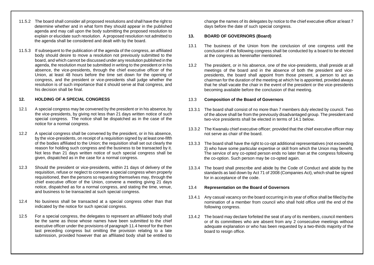- 11.5.2 The board shall consider all proposed resolutions and shall have the right to determine whether and in what form they should appear in the published agenda and may call upon the body submitting the proposed resolution to explain or elucidate such resolution. A proposed resolution not admitted to the agenda shall be considered and dealt with by the board.
- 11.5.3 If subsequent to the publication of the agenda of the congress, an affiliated body should desire to move a resolution not previously submitted to the board, and which cannot be discussed under any resolution published in the agenda, the resolution must be submitted in writing to the president or in his absence, the vice-presidents, through the chief executive officer of the Union, at least 48 hours before the time set down for the opening of congress, and the president or vice-presidents shall judge whether the resolution is of such importance that it should serve at that congress, and his decision shall be final.

# **12. HOLDING OF A SPECIAL CONGRESS**

- 12.1 A special congress may be convened by the president or in his absence, by the vice-presidents, by giving not less than 21 days written notice of such special congress. The notice shall be dispatched as in the case of the notice for a normal congress.
- 12.2 A special congress shall be convened by the president, or in his absence, by the vice-presidents, on receipt of a requisition signed by at least one-fifth of the bodies affiliated to the Union; the requisition shall set out clearly the reason for holding such congress and the business to be transacted by it. Not less than 21 days written notice of such special congress shall be given, dispatched as in the case for a normal congress.
- 12.3 Should the president or vice-presidents, within 21 days of delivery of the requisition, refuse or neglect to convene a special congress when properly requisitioned, then the persons so requesting themselves may, through the chief executive officer of the Union, convene a meeting giving 21 days notice, dispatched as for a normal congress, and stating the time, venue, and business to be transacted at such special congress.
- 12.4 No business shall be transacted at a special congress other than that indicated by the notice for such special congress.
- 12.5 For a special congress, the delegates to represent an affiliated body shall be the same as those whose names have been submitted to the chief executive officer under the provisions of paragraph 11.4 hereof for the then last preceding congress but omitting the provision relating to a late submission, provided however that an affiliated body shall be entitled to

change the names of its delegates by notice to the chief executive officer at least 7 days before the date of such special congress.

# **13. BOARD OF GOVERNORS (Board)**

- 13.1 The business of the Union from the conclusion of one congress until the conclusion of the following congress shall be conducted by a board to be elected at the congress as hereinafter mentioned.
- 13.2 The president, or in his absence, one of the vice-presidents, shall preside at all meetings of the board and in the absence of both the president and vicepresidents, the board shall appoint from those present, a person to act as chairman for the duration of the meeting at which he is appointed, provided always that he shall vacate the chair in the event of the president or the vice-presidents becoming available before the conclusion of that meeting.

## 13.3 **Composition of the Board of Governors**

- 13.3.1 The board shall consist of no more than 7 members duly elected by council. Two of the above shall be from the previously disadvantaged group. The president and two-vice presidents shall be elected in terms of 14.1 below.
- 13.3.2 The Kwanalu chief executive officer; provided that the chief executive officer may not serve as chair of the board.
- 13.3.3 The board shall have the right to co-opt additional representatives (not exceeding 3) who have some particular expertise or skill from which the Union may benefit. The service of any co-opted person ends no later than at the congress following the co-option. Such person may be co-opted again.
- 13.3.4 The board shall prescribe and abide by the Code of Conduct and abide by the standards as laid down by Act 71 of 2008 (Companies Act), which shall be signed for in acceptance of the code.

# 13.4 **Representation on the Board of Governors**

- 13.4.1 Any casual vacancy on the board occurring in its year of office shall be filled by the nomination of a member from council who shall hold office until the end of the following congress.
- 13.4.2 The board may declare forfeited the seat of any of its members, council members or of its committees who are absent from any 2 consecutive meetings without adequate explanation or who has been requested by a two-thirds majority of the board to resign office.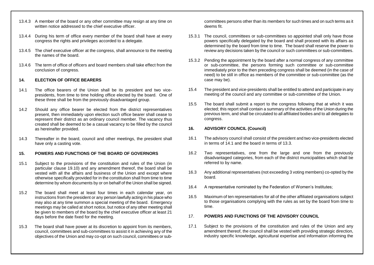- 13.4.3 A member of the board or any other committee may resign at any time on written notice addressed to the chief executive officer.
- 13.4.4 During his term of office every member of the board shall have at every congress the rights and privileges accorded to a delegate.
- 13.4.5 The chief executive officer at the congress, shall announce to the meeting the names of the board.
- 13.4.6 The term of office of officers and board members shall take effect from the conclusion of congress.

# **14. ELECTION OF OFFICE BEARERS**

- 14.1 The office bearers of the Union shall be its president and two vicepresidents, from time to time holding office elected by the board. One of these three shall be from the previously disadvantaged group.
- 14.2 Should any office bearer be elected from the district representatives present, then immediately upon election such office bearer shall cease to represent their district as an ordinary council member. The vacancy thus created shall be deemed to be a casual vacancy to be filled by the council as hereinafter provided.
- 14.3 Thereafter in the board, council and other meetings, the president shall have only a casting vote.

# **15. POWERS AND FUNCTIONS OF THE BOARD OF GOVERNORS**

- 15.1 Subject to the provisions of the constitution and rules of the Union (in particular clause 19.10) and any amendment thereof, the board shall be vested with all the affairs and business of the Union and except where otherwise specifically provided for in the constitution shall from time to time determine by whom documents by or on behalf of the Union shall be signed.
- 15.2 The board shall meet at least four times in each calendar year, on instructions from the president or any person lawfully acting in his place who may also at any time summon a special meeting of the board. Emergency meetings may be called at short notice, but notice of any other meeting shall be given to members of the board by the chief executive officer at least 21 days before the date fixed for the meeting.
- 15.3 The board shall have power at its discretion to appoint from its members, council, committees and sub-committees to assist it in achieving any of the objectives of the Union and may co-opt on such council, committees or sub-

committees persons other than its members for such times and on such terms as it deems fit.

- 15.3.1 The council, committees or sub-committees so appointed shall only have those powers specifically delegated by the board and shall proceed with its affairs as determined by the board from time to time. The board shall reserve the power to review any decisions taken by the council or such committees or sub-committees.
- 15.3.2 Pending the appointment by the board after a normal congress of any committee or sub-committee, the persons forming such committee or sub-committee immediately prior to the then preceding congress shall be deemed (in the case of need) to be still in office as members of the committee or sub-committee (as the case may be).
- 15.4 The president and vice-presidents shall be entitled to attend and participate in any meeting of the council and any committee or sub-committee of the Union.
- 15.5 The board shall submit a report to the congress following that at which it was elected; this report shall contain a summary of the activities of the Union during the previous term, and shall be circulated to all affiliated bodies and to all delegates to congress.

# **16. ADVISORY COUNCIL (Council)**

- 16.1 The advisory council shall consist of the president and two vice-presidents elected in terms of 14.1 and the board in terms of 13.3.
- 16.2 Two representatives, one from the large and one from the previously disadvantaged categories, from each of the district municipalities which shall be referred to by name.
- 16.3 Any additional representatives (not exceeding 3 voting members) co-opted by the board.
- 16.4 A representative nominated by the Federation of Women's Institutes;
- 16.5 Maximum of ten representatives for all of the other affiliated organisations subject to those organisations complying with the rules as set by the board from time to time.

## 17. **POWERS AND FUNCTIONS OF THE ADVISORY COUNCIL**

17.1 Subject to the provisions of the constitution and rules of the Union and any amendment thereof, the council shall be vested with providing strategic direction, industry specific knowledge, agricultural expertise and information informing the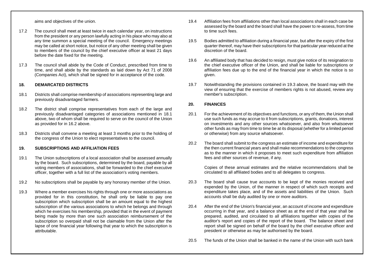aims and objectives of the union.

- 17.2 The council shall meet at least twice in each calendar year, on instructions from the president or any person lawfully acting in his place who may also at any time summon a special meeting of the council. Emergency meetings may be called at short notice, but notice of any other meeting shall be given to members of the council by the chief executive officer at least 21 days before the date fixed for the meeting.
- 17.3 The council shall abide by the Code of Conduct, prescribed from time to time, and shall abide by the standards as laid down by Act 71 of 2008 (Companies Act), which shall be signed for in acceptance of the code.

#### **18. DEMARCATED DISTRICTS**

- 18.1 Districts shall comprise membership of associations representing large and previously disadvantaged farmers.
- 18.2 The district shall comprise representatives from each of the large and previously disadvantaged categories of associations mentioned in 18.1 above, two of whom shall be required to serve on the council of the Union as provided for in 16.2 above.
- 18.3 Districts shall convene a meeting at least 3 months prior to the holding of the congress of the Union to elect representatives to the council.

## **19. SUBSCRIPTIONS AND AFFILIATION FEES**

- 19.1 The Union subscriptions of a local association shall be assessed annually by the board. Such subscriptions, determined by the board, payable by all voting members of associations, shall be forwarded to the chief executive officer, together with a full list of the association's voting members.
- 19.2 No subscriptions shall be payable by any honorary member of the Union.
- 19.3 Where a member exercises his rights through one or more associations as provided for in this constitution, he shall only be liable to pay one subscription which subscription shall be an amount equal to the highest subscription of the various associations to which he belongs and through which he exercises his membership, provided that in the event of payment being made by more than one such association reimbursement of the subscription so overpaid shall not be claimable from the Union after the lapse of one financial year following that year to which the subscription is attributable.
- 19.4 Affiliation fees from affiliations other than local associations shall in each case be assessed by the board and the board shall have the power to re-assess, from time to time such fees.
- 19.5 Bodies admitted to affiliation during a financial year, but after the expiry of the first quarter thereof, may have their subscriptions for that particular year reduced at the discretion of the board.
- 19.6 An affiliated body that has decided to resign, must give notice of its resignation to the chief executive officer of the Union, and shall be liable for subscriptions or affiliation fees due up to the end of the financial year in which the notice is so given.
- 19.7 Notwithstanding the provisions contained in 19.3 above, the board may with the view of ensuring that the exercise of members rights is not abused, review any member's subscription.

## **20. FINANCES**

- 20.1 For the achievement of its objectives and functions, or any of them, the Union shall use such funds as may accrue to it from subscriptions, grants, donations, interest on investments and any other sources whatsoever, and also from whatsoever other funds as may from time to time be at its disposal (whether for a limited period or otherwise) from any source whatsoever.
- 20.2 The board shall submit to the congress an estimate of income and expenditure for the then current financial years and shall make recommendations to the congress as to the manner in which it proposes to meet such expenditure from affiliation fees and other sources of revenue, if any.

Copies of these annual estimates and the relative recommendations shall be circulated to all affiliated bodies and to all delegates to congress.

- 20.3 The board shall cause true accounts to be kept of the monies received and expended by the Union, of the manner in respect of which such receipts and expenditure takes place, and of the assets and liabilities of the Union. Such accounts shall be duly audited by one or more auditors.
- 20.4 After the end of the Union's financial year, an account of income and expenditure occurring in that year, and a balance sheet as at the end of that year shall be prepared, audited, and circulated to all affiliations together with copies of the auditor's report and copies of the report of the board. The balance sheet and report shall be signed on behalf of the board by the chief executive officer and president or otherwise as may be authorised by the board.
- 20.5 The funds of the Union shall be banked in the name of the Union with such bank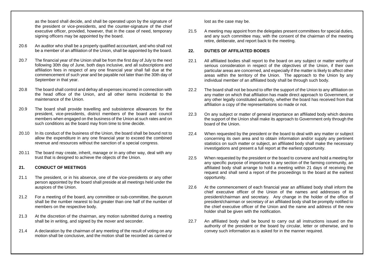as the board shall decide, and shall be operated upon by the signature of the president or vice-presidents, and the counter-signature of the chief executive officer, provided, however, that in the case of need, temporary signing officers may be appointed by the board.

- 20.6 An auditor who shall be a properly qualified accountant, and who shall not be a member of an affiliation of the Union, shall be appointed by the board.
- 20.7 The financial year of the Union shall be from the first day of July to the next following 30th day of June, both days inclusive, and all subscriptions and affiliation fees in respect of any one financial year shall fall due at the commencement of such year and be payable not later than the 30th day of September in that year.
- 20.8 The board shall control and defray all expenses incurred in connection with the head office of the Union, and all other items incidental to the maintenance of the Union.
- 20.9 The board shall provide travelling and subsistence allowances for the president, vice-presidents, district members of the board and council members when engaged on the business of the Union at such rates and on such conditions as the board may from time to time decide.
- 20.10 In its conduct of the business of the Union, the board shall be bound not to allow the expenditure in any one financial year to exceed the combined revenue and resources without the sanction of a special congress.
- 20.11 The board may create, inherit, manage or in any other way, deal with any trust that is designed to achieve the objects of the Union.

# **21. CONDUCT OF MEETINGS**

- 21.1 The president, or in his absence, one of the vice-presidents or any other person appointed by the board shall preside at all meetings held under the auspices of the Union.
- 21.2 For a meeting of the board, any committee or sub-committee, the quorum shall be the number nearest to but greater than one half of the number of members on the respective body.
- 21.3 At the discretion of the chairman, any motion submitted during a meeting shall be in writing, and signed by the mover and seconder.
- 21.4 A declaration by the chairman of any meeting of the result of voting on any motion shall be conclusive, and the motion shall be recorded as carried or

lost as the case may be.

21.5 A meeting may appoint from the delegates present committees for special duties, and any such committee may, with the consent of the chairman of the meeting retire, deliberate, and report back to the meeting.

# **22. DUTIES OF AFFILIATED BODIES**

- 22.1 All affiliated bodies shall report to the board on any subject or matter worthy of serious consideration in respect of the objectives of the Union, if their own particular areas are concerned, and especially if the matter is likely to affect other areas within the territory of the Union. The approach to the Union by any individual member of an affiliated body shall be through such body.
- 22.2 The board shall not be bound to offer the support of the Union to any affiliation on any matter on which that affiliation has made direct approach to Government, or any other legally constituted authority, whether the board has received from that affiliation a copy of the representations so made or not.
- 22.3 On any subject or matter of general importance an affiliated body which desires the support of the Union shall make its approach to Government only through the board of the Union.
- 22.4 When requested by the president or the board to deal with any matter or subject concerning its own area and to obtain information and/or supply any pertinent statistics on such matter or subject, an affiliated body shall make the necessary investigations and present a full report at the earliest opportunity.
- 22.5 When requested by the president or the board to convene and hold a meeting for any specific purpose of importance to any section of the farming community, an affiliated body shall arrange to hold a meeting within 21 days of receiving the request and shall send a report of the proceedings to the board at the earliest opportunity.
- 22.6 At the commencement of each financial year an affiliated body shall inform the chief executive officer of the Union of the names and addresses of its president/chairman and secretary. Any change in the holder of the office of president/chairman or secretary of an affiliated body shall be promptly notified to the chief executive officer of the Union and the name and address of the new holder shall be given with the notification.
- 22.7 An affiliated body shall be bound to carry out all instructions issued on the authority of the president or the board by circular, letter or otherwise, and to convey such information as is asked for in the manner required.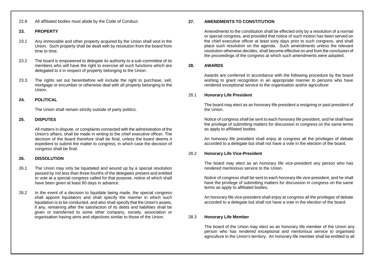#### 22.8 All affiliated bodies must abide by the Code of Conduct.

#### **23. PROPERTY**

- 23.1 Any immovable and other property acquired by the Union shall vest in the Union. Such property shall be dealt with by resolution from the board from time to time.
- 23.2 The board is empowered to delegate its authority to a sub-committee of its members who will have the right to exercise all such functions which are delegated to it in respect of property belonging to the Union.
- 23.3 The rights set out hereinbefore will include the right to purchase, sell, mortgage or encumber or otherwise deal with all property belonging to the Union.

# **24. POLITICAL**

The Union shall remain strictly outside of party politics.

# **25. DISPUTES**

All matters in dispute, or complaints connected with the administration of the Union's affairs, shall be made in writing to the chief executive officer. The decision of the board therefore shall be final, unless the board deems it expedient to submit the matter to congress, in which case the decision of congress shall be final.

# **26. DISSOLUTION**

- 26.1 The Union may only be liquidated and wound up by a special resolution passed by not less than three-fourths of the delegates present and entitled to vote at a special congress called for that purpose, notice of which shall have been given at least 60 days in advance.
- 26.2 In the event of a decision to liquidate being made, the special congress shall appoint liquidators and shall specify the manner in which such liquidation is to be conducted, and also shall specify that the Union's assets, if any, remaining after the satisfaction of its debts and liabilities shall be given or transferred to some other company, society, association or organisation having aims and objectives similar to those of the Union.

#### **27. AMENDMENTS TO CONSTITUTION**

Amendments to the constitution shall be effected only by a resolution of a normal or special congress, and provided that notice of such motion has been served on the chief executive officer at least sixty days prior to such congress, and shall place such resolution on the agenda. Such amendments unless the relevant resolution otherwise decides, shall become effective on and from the conclusion of the proceedings of the congress at which such amendments were adopted.

#### **28. AWARDS**

Awards are conferred in accordance with the following procedure by the board wishing to grant recognition in an appropriate manner to persons who have rendered exceptional service to the organisation and/or agriculture:

#### 28.1 **Honorary Life President**

The board may elect as an honorary life president a resigning or past president of the Union.

Notice of congress shall be sent to each honorary life president, and he shall have the privilege of submitting matters for discussion in congress on the same terms as apply to affiliated bodies.

An honorary life president shall enjoy at congress all the privileges of debate accorded to a delegate but shall not have a vote in the election of the board.

# 28.2 **Honorary Life Vice-President**

The board may elect as an honorary life vice-president any person who has rendered meritorious service to the Union.

Notice of congress shall be sent to each honorary life vice-president, and he shall have the privilege of submitting matters for discussion in congress on the same terms as apply to affiliated bodies.

An honorary life vice-president shall enjoy at congress all the privileges of debate accorded to a delegate but shall not have a vote in the election of the board.

#### 28.3 **Honorary Life Member**

The board of the Union may elect as an honorary life member of the Union any person who has rendered exceptional and meritorious service to organised agriculture in the Union's territory. An honorary life member shall be entitled to all